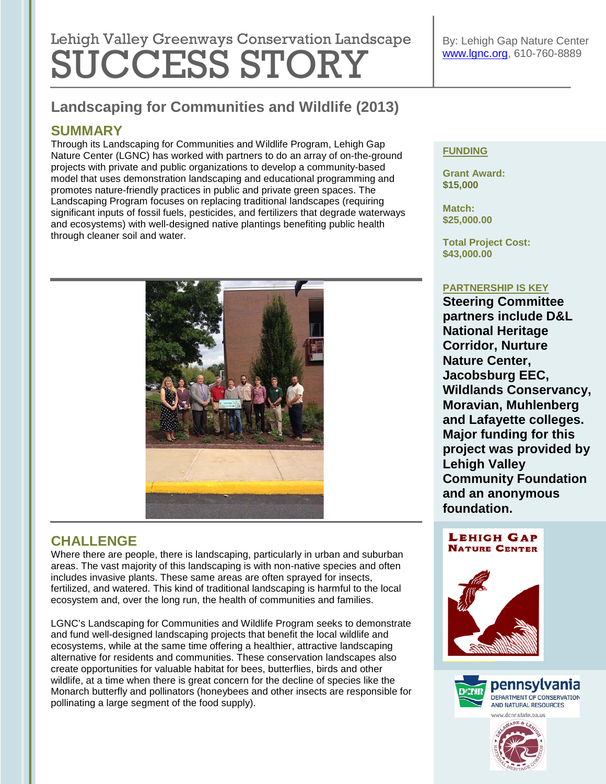# Lehigh Valley Greenways Conservation Landscape SUCCESS STORY

## **Landscaping for Communities and Wildlife (2013)**

## **SUMMARY**

Through its Landscaping for Communities and Wildlife Program, Lehigh Gap Nature Center (LGNC) has worked with partners to do an array of on-the-ground projects with private and public organizations to develop a community-based model that uses demonstration landscaping and educational programming and promotes nature-friendly practices in public and private green spaces. The Landscaping Program focuses on replacing traditional landscapes (requiring significant inputs of fossil fuels, pesticides, and fertilizers that degrade waterways and ecosystems) with well-designed native plantings benefiting public health through cleaner soil and water.



## **CHALLENGE**

Where there are people, there is landscaping, particularly in urban and suburban areas. The vast majority of this landscaping is with non-native species and often includes invasive plants. These same areas are often sprayed for insects, fertilized, and watered. This kind of traditional landscaping is harmful to the local ecosystem and, over the long run, the health of communities and families.

LGNC's Landscaping for Communities and Wildlife Program seeks to demonstrate and fund well-designed landscaping projects that benefit the local wildlife and ecosystems, while at the same time offering a healthier, attractive landscaping alternative for residents and communities. These conservation landscapes also create opportunities for valuable habitat for bees, butterflies, birds and other wildlife, at a time when there is great concern for the decline of species like the Monarch butterfly and pollinators (honeybees and other insects are responsible for pollinating a large segment of the food supply).

#### **FUNDING**

**Grant Award: \$15,000**

**Match: \$25,000.00**

**Total Project Cost: \$43,000.00**

#### **PARTNERSHIP IS KEY**

**Steering Committee partners include D&L National Heritage Corridor, Nurture Nature Center, Jacobsburg EEC, Wildlands Conservancy, Moravian, Muhlenberg and Lafayette colleges. Major funding for this project was provided by Lehigh Valley Community Foundation and an anonymous foundation.**